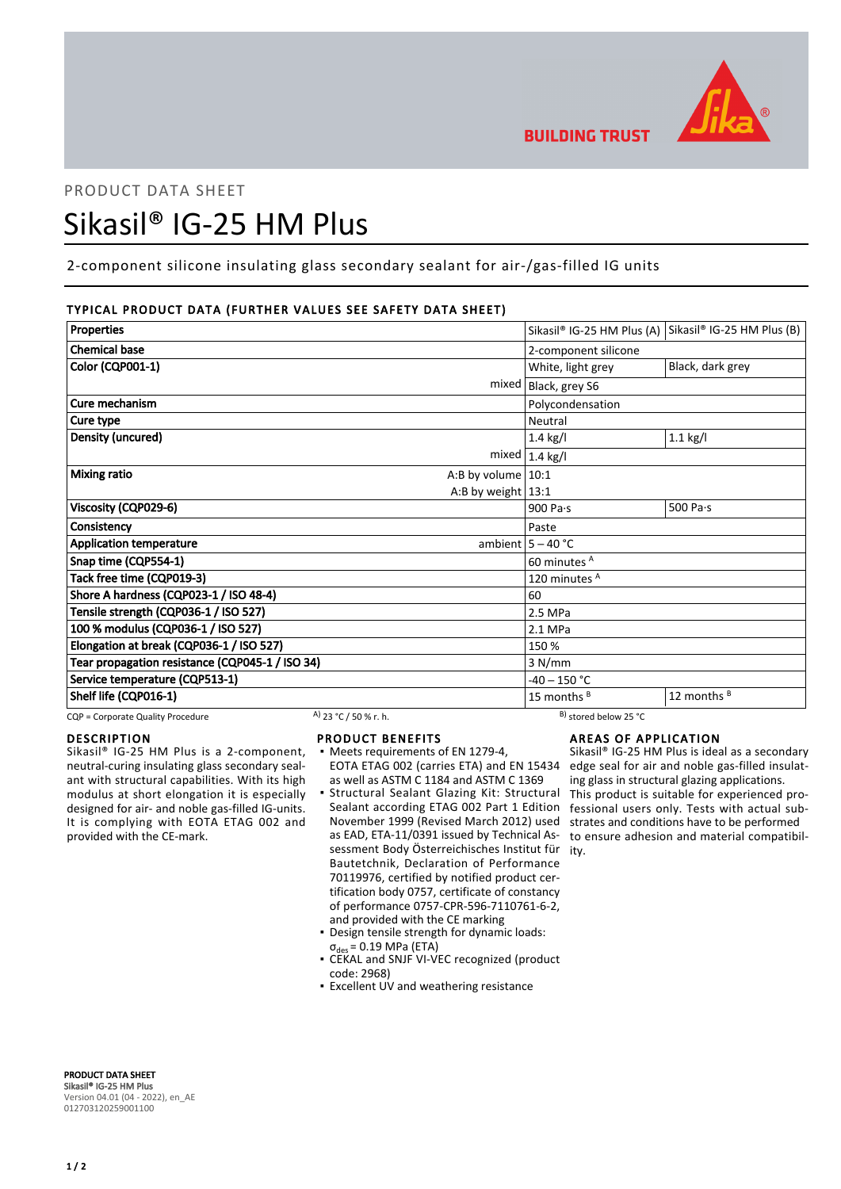

# PRODUCT DATA SHEET Sikasil® IG-25 HM Plus

2-component silicone insulating glass secondary sealant for air-/gas-filled IG units

# TYPICAL PRODUCT DATA (FURTHER VALUES SEE SAFETY DATA SHEET)

| Properties                                      |                        | Sikasil® IG-25 HM Plus (A) Sikasil® IG-25 HM Plus (B) |
|-------------------------------------------------|------------------------|-------------------------------------------------------|
| <b>Chemical base</b>                            | 2-component silicone   |                                                       |
| Color (CQP001-1)                                | White, light grey      | Black, dark grey                                      |
|                                                 | mixed   Black, grey S6 |                                                       |
| Cure mechanism                                  | Polycondensation       |                                                       |
| Cure type                                       | Neutral                |                                                       |
| Density (uncured)                               | $1.4$ kg/l             | $1.1$ kg/l                                            |
|                                                 | $mixed$   1.4 kg/l     |                                                       |
| <b>Mixing ratio</b><br>A:B by volume $ 10:1$    |                        |                                                       |
| A:B by weight $13:1$                            |                        |                                                       |
| Viscosity (CQP029-6)                            | 900 Pa $\cdot$ s       | 500 Pa $\cdot$ s                                      |
| Consistency                                     | Paste                  |                                                       |
| <b>Application temperature</b>                  | ambient $5 - 40$ °C    |                                                       |
| Snap time (CQP554-1)                            | 60 minutes A           |                                                       |
| Tack free time (CQP019-3)                       | 120 minutes A          |                                                       |
| Shore A hardness (CQP023-1 / ISO 48-4)          | 60                     |                                                       |
| Tensile strength (CQP036-1 / ISO 527)           | 2.5 MPa                |                                                       |
| 100 % modulus (CQP036-1 / ISO 527)              | 2.1 MPa                |                                                       |
| Elongation at break (CQP036-1 / ISO 527)        | 150 %                  |                                                       |
| Tear propagation resistance (CQP045-1 / ISO 34) | 3 N/mm                 |                                                       |
| Service temperature (CQP513-1)                  | $-40 - 150$ °C         |                                                       |
| Shelf life (CQP016-1)                           | 15 months <sup>B</sup> | 12 months <sup>B</sup>                                |

CQP = Corporate Quality Procedure  $\frac{A}{23}$  °C / 50 % r. h.  $\frac{B}{25}$  stored below 25 °C

# DESCRIPTION

Sikasil® IG-25 HM Plus is a 2-component, neutral-curing insulating glass secondary sealant with structural capabilities. With its high modulus at short elongation it is especially designed for air- and noble gas-filled IG-units. It is complying with EOTA ETAG 002 and provided with the CE-mark.

# PRODUCT BENEFITS

- Meets requirements of EN 1279-4, as well as ASTM C 1184 and ASTM C 1369
- Structural Sealant Glazing Kit: Structural Sealant according ETAG 002 Part 1 Edition November 1999 (Revised March 2012) used as EAD, ETA-11/0391 issued by Technical Assessment Body Österreichisches Institut für ity. Bautetchnik, Declaration of Performance 70119976, certified by notified product certification body 0757, certificate of constancy of performance 0757-CPR-596-7110761-6-2, and provided with the CE marking ▪
- Design tensile strength for dynamic loads:  $\sigma_{des}$  = 0.19 MPa (ETA)
- CEKAL and SNJF VI-VEC recognized (product code: 2968)
- **Excellent UV and weathering resistance**

# AREAS OF APPLICATION

EOTA ETAG 002 (carries ETA) and EN 15434 edge seal for air and noble gas-filled insulat-Sikasil® IG-25 HM Plus is ideal as a secondary ing glass in structural glazing applications. This product is suitable for experienced professional users only. Tests with actual substrates and conditions have to be performed to ensure adhesion and material compatibil-

PRODUCT DATA SHEET Sikasil® IG-25 HM Plus Version 04.01 (04 - 2022), en\_AE 012703120259001100